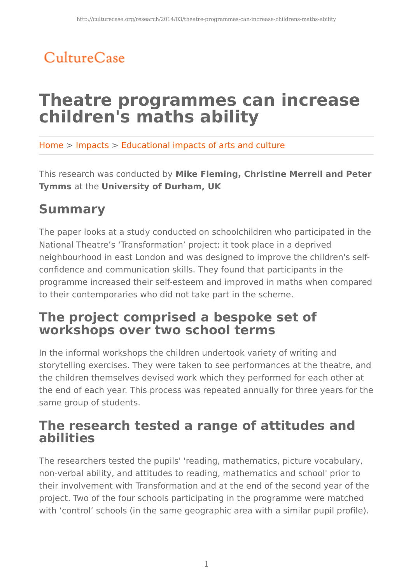## CultureCase

# **Theatre programmes can increase children's maths ability**

Home > Impacts > Educational impacts of arts and culture

This research was conducted by **Mike Fleming, Christine Merrell and Peter Tymms** at the **University of Durham, UK**

### **Summary**

The paper looks at a study conducted on schoolchildren who participated in the National Theatre's 'Transformation' project: it took place in a deprived neighbourhood in east London and was designed to improve the children's selfconfidence and communication skills. They found that participants in the programme increased their self-esteem and improved in maths when compared to their contemporaries who did not take part in the scheme.

### **The project comprised a bespoke set of workshops over two school terms**

In the informal workshops the children undertook variety of writing and storytelling exercises. They were taken to see performances at the theatre, and the children themselves devised work which they performed for each other at the end of each year. This process was repeated annually for three years for the same group of students.

#### **The research tested a range of attitudes and abilities**

The researchers tested the pupils' 'reading, mathematics, picture vocabulary, non-verbal ability, and attitudes to reading, mathematics and school' prior to their involvement with Transformation and at the end of the second year of the project. Two of the four schools participating in the programme were matched with 'control' schools (in the same geographic area with a similar pupil profile).